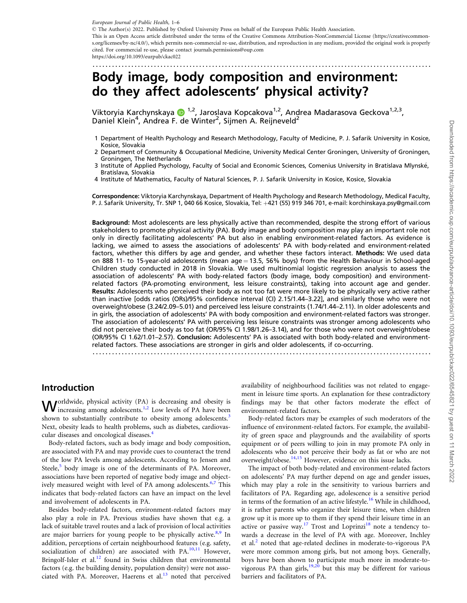<span id="page-0-0"></span>- The Author(s) 2022. Published by Oxford University Press on behalf of the European Public Health Association. This is an Open Access article distributed under the terms of the Creative Commons Attribution-NonCommercial License (https://creativecommons.org/licenses/by-nc/4.0/), which permits non-commercial re-use, distribution, and reproduction in any medium, provided the original work is properly cited. For commercial re-use, please contact journals.permissions@oup.com https://doi.org/10.1093/eurpub/ckac022

.........................................................................................................

# Body image, body composition and environment: do they affect adolescents' physical activity?

Viktoryia Karchynskaya  $\bullet$ <sup>1,2</sup>, Jaroslava Kopcakova<sup>1,2</sup>, Andrea Madarasova Geckova<sup>1,2,3</sup>, Daniel Klein<sup>4</sup>, Andrea F. de Winter<sup>2</sup>, Sijmen A. Reijneveld<sup>2</sup>

- 1 Department of Health Psychology and Research Methodology, Faculty of Medicine, P. J. Safarik University in Kosice, Kosice, Slovakia
- 2 Department of Community & Occupational Medicine, University Medical Center Groningen, University of Groningen, Groningen, The Netherlands
- 3 Institute of Applied Psychology, Faculty of Social and Economic Sciences, Comenius University in Bratislava Mlynské, Bratislava, Slovakia
- 4 Institute of Mathematics, Faculty of Natural Sciences, P. J. Safarik University in Kosice, Kosice, Slovakia

Correspondence: Viktoryia Karchynskaya, Department of Health Psychology and Research Methodology, Medical Faculty, P. J. Safarik University, Tr. SNP 1, 040 66 Kosice, Slovakia, Tel: +421 (55) 919 346 701, e-mail: korchinskaya.psy@gmail.com

Background: Most adolescents are less physically active than recommended, despite the strong effort of various stakeholders to promote physical activity (PA). Body image and body composition may play an important role not only in directly facilitating adolescents' PA but also in enabling environment-related factors. As evidence is lacking, we aimed to assess the associations of adolescents' PA with body-related and environment-related factors, whether this differs by age and gender, and whether these factors interact. Methods: We used data on 888 11- to 15-year-old adolescents (mean  $age = 13.5$ , 56% boys) from the Health Behaviour in School-aged Children study conducted in 2018 in Slovakia. We used multinomial logistic regression analysis to assess the association of adolescents' PA with body-related factors (body image, body composition) and environmentrelated factors (PA-promoting environment, less leisure constraints), taking into account age and gender. Results: Adolescents who perceived their body as not too fat were more likely to be physically very active rather than inactive [odds ratios (ORs)/95% confidence interval (CI) 2.15/1.44–3.22], and similarly those who were not overweight/obese (3.24/2.09–5.01) and perceived less leisure constraints (1.74/1.44–2.11). In older adolescents and in girls, the association of adolescents' PA with body composition and environment-related factors was stronger. The association of adolescents' PA with perceiving less leisure constraints was stronger among adolescents who did not perceive their body as too fat (OR/95% CI 1.98/1.26–3.14), and for those who were not overweight/obese (OR/95% CI 1.62/1.01–2.57). Conclusion: Adolescents' PA is associated with both body-related and environmentrelated factors. These associations are stronger in girls and older adolescents, if co-occurring.

.........................................................................................................

### Introduction

**W** orldwide, physical activity  $(PA)$  is decreasing and obesity is increasing among adolescents.<sup>[1,2](#page-4-0)</sup> Low levels of PA have been shown to substantially contribute to obesity among adolescents.<sup>[3](#page-4-0)</sup> Next, obesity leads to health problems, such as diabetes, cardiovascular diseases and oncological diseases.<sup>4</sup>

Body-related factors, such as body image and body composition, are associated with PA and may provide cues to counteract the trend of the low PA levels among adolescents. According to Jensen and Steele, $5$  body image is one of the determinants of PA. Moreover, associations have been reported of negative body image and object-ively measured weight with level of PA among adolescents.<sup>[6,7](#page-4-0)</sup> This indicates that body-related factors can have an impact on the level and involvement of adolescents in PA.

Besides body-related factors, environment-related factors may also play a role in PA. Previous studies have shown that e.g. a lack of suitable travel routes and a lack of provision of local activities are major barriers for young people to be physically active. $8.9$  In addition, perceptions of certain neighbourhood features (e.g. safety, socialization of children) are associated with PA.<sup>[10,11](#page-4-0)</sup> However, Bringolf-Isler et al.<sup>[12](#page-4-0)</sup> found in Swiss children that environmental factors (e.g. the building density, population density) were not associated with PA. Moreover, Haerens et al. $13$  noted that perceived availability of neighbourhood facilities was not related to engagement in leisure time sports. An explanation for these contradictory findings may be that other factors moderate the effect of environment-related factors.

Body-related factors may be examples of such moderators of the influence of environment-related factors. For example, the availability of green space and playgrounds and the availability of sports equipment or of peers willing to join in may promote PA only in adolescents who do not perceive their body as fat or who are not overweight/obese.<sup>[14,15](#page-4-0)</sup> However, evidence on this issue lacks.

The impact of both body-related and environment-related factors on adolescents' PA may further depend on age and gender issues, which may play a role in the sensitivity to various barriers and facilitators of PA. Regarding age, adolescence is a sensitive period in terms of the formation of an active lifestyle.<sup>[16](#page-4-0)</sup> While in childhood, it is rather parents who organize their leisure time, when children grow up it is more up to them if they spend their leisure time in an active or passive way.<sup>17</sup> Trost and Loprinzi<sup>[18](#page-4-0)</sup> note a tendency towards a decrease in the level of PA with age. Moreover, Inchley et al.<sup>2</sup> noted that age-related declines in moderate-to-vigorous PA were more common among girls, but not among boys. Generally, boys have been shown to participate much more in moderate-to-vigorous PA than girls,<sup>[19](#page-4-0),[20](#page-4-0)</sup> but this may be different for various barriers and facilitators of PA.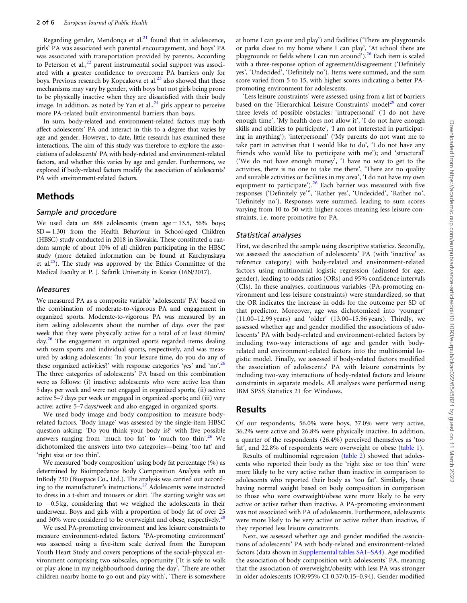<span id="page-1-0"></span>Regarding gender, Mendonça et al. $^{21}$  found that in adolescence, girls' PA was associated with parental encouragement, and boys' PA was associated with transportation provided by parents. According to Peterson et al.,<sup>[22](#page-4-0)</sup> parent instrumental social support was associated with a greater confidence to overcome PA barriers only for boys. Previous research by Kopcakova et al.<sup>[23](#page-4-0)</sup> also showed that these mechanisms may vary by gender, with boys but not girls being prone to be physically inactive when they are dissatisfied with their body image. In addition, as noted by Yan et al.,  $^{24}$  $^{24}$  $^{24}$  girls appear to perceive more PA-related built environmental barriers than boys.

In sum, body-related and environment-related factors may both affect adolescents' PA and interact in this to a degree that varies by age and gender. However, to date, little research has examined these interactions. The aim of this study was therefore to explore the associations of adolescents' PA with body-related and environment-related factors, and whether this varies by age and gender. Furthermore, we explored if body-related factors modify the association of adolescents' PA with environment-related factors.

### Methods

#### Sample and procedure

We used data on 888 adolescents (mean age  $= 13.5$ , 56% boys;  $SD = 1.30$ ) from the Health Behaviour in School-aged Children (HBSC) study conducted in 2018 in Slovakia. These constituted a random sample of about 10% of all children participating in the HBSC study (more detailed information can be found at Karchynskaya et al. $25$ ). The study was approved by the Ethics Committee of the Medical Faculty at P. J. Safarik University in Kosice (16N/2017).

#### Measures

We measured PA as a composite variable 'adolescents' PA' based on the combination of moderate-to-vigorous PA and engagement in organized sports. Moderate-to-vigorous PA was measured by an item asking adolescents about the number of days over the past week that they were physically active for a total of at least 60 min/ day.<sup>26</sup> The engagement in organized sports regarded items dealing with team sports and individual sports, respectively, and was measured by asking adolescents: 'In your leisure time, do you do any of these organized activities?' with response categories 'yes' and 'no'.<sup>26</sup> The three categories of adolescents' PA based on this combination were as follows: (i) inactive: adolescents who were active less than 5 days per week and were not engaged in organized sports; (ii) active: active 5–7 days per week or engaged in organized sports; and (iii) very active: active 5–7 days/week and also engaged in organized sports.

We used body image and body composition to measure bodyrelated factors. 'Body image' was assessed by the single-item HBSC question asking: 'Do you think your body is?' with five possible answers ranging from 'much too fat' to 'much too thin'.<sup>26</sup> We dichotomized the answers into two categories—being 'too fat' and 'right size or too thin'.

We measured 'body composition' using body fat percentage (%) as determined by Bioimpedance Body Composition Analysis with an InBody 230 (Biospace Co., Ltd.). The analysis was carried out according to the manufacturer's instructions.[27](#page-5-0) Adolescents were instructed to dress in a t-shirt and trousers or skirt. The starting weight was set to -0.5 kg, considering that we weighed the adolescents in their underwear. Boys and girls with a proportion of body fat of over 25 and 30% were considered to be overweight and obese, respectively.<sup>28</sup>

We used PA-promoting environment and less leisure constraints to measure environment-related factors. 'PA-promoting environment' was assessed using a five-item scale derived from the European Youth Heart Study and covers perceptions of the social–physical environment comprising two subscales, opportunity ('It is safe to walk or play alone in my neighbourhood during the day', 'There are other children nearby home to go out and play with', 'There is somewhere

at home I can go out and play') and facilities ('There are playgrounds or parks close to my home where I can play', 'At school there are playgrounds or fields where I can run around').<sup>[26](#page-5-0)</sup> Each item is scaled with a three-response option of agreement/disagreement ('Definitely yes', 'Undecided', 'Definitely no'). Items were summed, and the sum score varied from 5 to 15, with higher scores indicating a better PApromoting environment for adolescents.

'Less leisure constraints' were assessed using from a list of barriers based on the 'Hierarchical Leisure Constraints' model<sup>[29](#page-5-0)</sup> and cover three levels of possible obstacles: 'intrapersonal' ('I do not have enough time', 'My health does not allow it', 'I do not have enough skills and abilities to participate', 'I am not interested in participating in anything'); 'interpersonal' ('My parents do not want me to take part in activities that I would like to do', 'I do not have any friends who would like to participate with me'); and 'structural' ('We do not have enough money', 'I have no way to get to the activities, there is no one to take me there', 'There are no quality and suitable activities or facilities in my area', 'I do not have my own equipment to participate'). $26$  Each barrier was measured with five responses ('Definitely ye'", 'Rather yes', 'Undecided', 'Rather no', 'Definitely no'). Responses were summed, leading to sum scores varying from 10 to 50 with higher scores meaning less leisure constraints, i.e. more promotive for PA.

#### Statistical analyses

First, we described the sample using descriptive statistics. Secondly, we assessed the association of adolescents' PA (with 'inactive' as reference category) with body-related and environment-related factors using multinomial logistic regression (adjusted for age, gender), leading to odds ratios (ORs) and 95% confidence intervals (CIs). In these analyses, continuous variables (PA-promoting environment and less leisure constraints) were standardized, so that the OR indicates the increase in odds for the outcome per SD of that predictor. Moreover, age was dichotomized into 'younger' (11.00–12.99 years) and 'older' (13.00–15.96 years). Thirdly, we assessed whether age and gender modified the associations of adolescents' PA with body-related and environment-related factors by including two-way interactions of age and gender with bodyrelated and environment-related factors into the multinomial logistic model. Finally, we assessed if body-related factors modified the association of adolescents' PA with leisure constraints by including two-way interactions of body-related factors and leisure constraints in separate models. All analyses were performed using IBM SPSS Statistics 21 for Windows.

#### Results

Of our respondents, 56.0% were boys, 37.0% were very active, 36.2% were active and 26.8% were physically inactive. In addition, a quarter of the respondents (26.4%) perceived themselves as 'too fat', and 22.8% of respondents were overweight or obese ([table 1\)](#page-2-0).

Results of multinomial regression ([table 2](#page-2-0)) showed that adolescents who reported their body as the 'right size or too thin' were more likely to be very active rather than inactive in comparison to adolescents who reported their body as 'too fat'. Similarly, those having normal weight based on body composition in comparison to those who were overweight/obese were more likely to be very active or active rather than inactive. A PA-promoting environment was not associated with PA of adolescents. Furthermore, adolescents were more likely to be very active or active rather than inactive, if they reported less leisure constraints.

Next, we assessed whether age and gender modified the associations of adolescents' PA with body-related and environment-related factors (data shown in [Supplemental tables SA1–SA4\)](https://academic.oup.com/eurpub/article-lookup/doi/10.1093/eurpub/ckac022#supplementary-data). Age modified the association of body composition with adolescents' PA, meaning that the association of overweight/obesity with less PA was stronger in older adolescents (OR/95% CI 0.37/0.15–0.94). Gender modified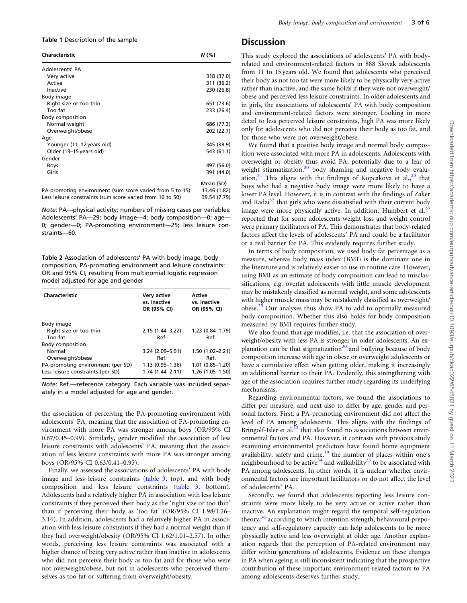<span id="page-2-0"></span>Table 1 Description of the sample

| <b>Characteristic</b>                                     | N(%)         |
|-----------------------------------------------------------|--------------|
| Adolescents' PA                                           |              |
| Very active                                               | 318 (37.0)   |
| Active                                                    | 311 (36.2)   |
| Inactive                                                  | 230 (26.8)   |
| Body image                                                |              |
| Right size or too thin                                    | 651 (73.6)   |
| Too fat                                                   | 233 (26.4)   |
| Body composition                                          |              |
| Normal weight                                             | 686 (77.3)   |
| Overweight/obese                                          | 202 (22.7)   |
| Age                                                       |              |
| Younger (11–12 years old)                                 | 345 (38.9)   |
| Older (13–15 years old)                                   | 543 (61.1)   |
| Gender                                                    |              |
| Boys                                                      | 497 (56.0)   |
| Girls                                                     | 391 (44.0)   |
|                                                           | Mean (SD)    |
| PA-promoting environment (sum score varied from 5 to 15)  | 13.46 (1.82) |
| Less leisure constraints (sum score varied from 10 to 50) | 39.54 (7.79) |

Note: PA—physical activity; numbers of missing cases per variables: Adolescents' PA—29; body image—4; body composition—0; age— 0; gender—0; PA-promoting environment—25; less leisure constraints—60.

Table 2 Association of adolescents' PA with body image, body composition, PA-promoting environment and leisure constraints: OR and 95% CI, resulting from multinomial logistic regression model adjusted for age and gender

| Characteristic                    | Very active<br>vs. inactive<br>OR (95% CI) | Active<br>vs. inactive<br>OR (95% CI) |
|-----------------------------------|--------------------------------------------|---------------------------------------|
| Body image                        |                                            |                                       |
| Right size or too thin            | $2.15(1.44 - 3.22)$                        | 1.23 (0.84-1.79)                      |
| Too fat                           | Ref.                                       | Ref.                                  |
| <b>Body composition</b>           |                                            |                                       |
| Normal                            | 3.24 (2.09-5.01)                           | 1.50 (1.02-2.21)                      |
| Overweight/obese                  | Ref.                                       | Ref.                                  |
| PA-promoting environment (per SD) | $1.13(0.95 - 1.36)$                        | $1.01(0.85 - 1.20)$                   |
| Less leisure constraints (per SD) | $1.74(1.44 - 2.11)$                        | 1.26 (1.05-1.50)                      |

Note: Ref.—reference category. Each variable was included separately in a model adjusted for age and gender.

the association of perceiving the PA-promoting environment with adolescents' PA, meaning that the association of PA-promoting environment with more PA was stronger among boys (OR/95% CI 0.67/0.45–0.99). Similarly, gender modified the association of less leisure constraints with adolescents' PA, meaning that the association of less leisure constraints with more PA was stronger among boys (OR/95% CI 0.63/0.41–0.95).

Finally, we assessed the associations of adolescents' PA with body image and less leisure constraints [\(table 3](#page-3-0), top), and with body composition and less leisure constraints ([table 3](#page-3-0), bottom). Adolescents had a relatively higher PA in association with less leisure constraints if they perceived their body as the 'right size or too thin' than if perceiving their body as 'too fat' (OR/95% CI 1.98/1.26– 3.14). In addition, adolescents had a relatively higher PA in association with less leisure constraints if they had a normal weight than if they had overweight/obesity (OR/95% CI 1.62/1.01–2.57). In other words, perceiving less leisure constraints was associated with a higher chance of being very active rather than inactive in adolescents who did not perceive their body as too fat and for those who were not overweight/obese, but not in adolescents who perceived themselves as too fat or suffering from overweight/obesity.

### **Discussion**

This study explored the associations of adolescents' PA with bodyrelated and environment-related factors in 888 Slovak adolescents from 11 to 15 years old. We found that adolescents who perceived their body as not too fat were more likely to be physically very active rather than inactive, and the same holds if they were not overweight/ obese and perceived less leisure constraints. In older adolescents and in girls, the associations of adolescents' PA with body composition and environment-related factors were stronger. Looking in more detail to less perceived leisure constraints, high PA was more likely only for adolescents who did not perceive their body as too fat, and for those who were not overweight/obese.

We found that a positive body image and normal body composition were associated with more PA in adolescents. Adolescents with overweight or obesity thus avoid PA, potentially due to a fear of weight stigmatization, $30 \text{ body}$  $30 \text{ body}$  shaming and negative body evalu-ation.<sup>[31](#page-5-0)</sup> This aligns with the findings of Kopcakova et al.,<sup>[23](#page-4-0)</sup> that boys who had a negative body image were more likely to have a lower PA level. However, it is in contrast with the findings of Zaker and Radzi $32$  that girls who were dissatisfied with their current body image were more physically active. In addition, Humbert et al. $33$ reported that for some adolescents weight loss and weight control were primary facilitators of PA. This demonstrates that body-related factors affect the levels of adolescents' PA and could be a facilitator or a real barrier for PA. This evidently requires further study.

In terms of body composition, we used body fat percentage as a measure, whereas body mass index (BMI) is the dominant one in the literature and is relatively easier to use in routine care. However, using BMI as an estimate of body composition can lead to misclassifications, e.g. overfat adolescents with little muscle development may be mistakenly classified as normal weight, and some adolescents with higher muscle mass may be mistakenly classified as overweight/ obese.[25](#page-5-0) Our analyses thus show PA to add to optimally measured body composition. Whether this also holds for body composition measured by BMI requires further study.

We also found that age modifies, i.e. that the association of overweight/obesity with less PA is stronger in older adolescents. An explanation can be that stigmatization $30$  and bullying because of body composition increase with age in obese or overweight adolescents or have a cumulative effect when getting older, making it increasingly an additional barrier to their PA. Evidently, this strengthening with age of the association requires further study regarding its underlying mechanisms.

Regarding environmental factors, we found the associations to differ per measure, and next also to differ by age, gender and personal factors. First, a PA-promoting environment did not affect the level of PA among adolescents. This aligns with the findings of Bringolf-Isler et al.<sup>[12](#page-4-0)</sup> that also found no associations between environmental factors and PA. However, it contrasts with previous study examining environmental predictors have found home equipment availability, safety and  $\text{crime}_1^{10}$  $\text{crime}_1^{10}$  $\text{crime}_1^{10}$  the number of places within one's neighbourhood to be active<sup>[34](#page-5-0)</sup> and walkability<sup>[35](#page-5-0)</sup> to be associated with PA among adolescents. In other words, it is unclear whether environmental factors are important facilitators or do not affect the level of adolescents' PA.

Secondly, we found that adolescents reporting less leisure constraints were more likely to be very active or active rather than inactive. An explanation might regard the temporal self-regulation theory,<sup>[36](#page-5-0)</sup> according to which intention strength, behavioural prepotency and self-regulatory capacity can help adolescents to be more physically active and less overweight at older age. Another explanation regards that the perception of PA-related environment may differ within generations of adolescents. Evidence on these changes in PA when ageing is still inconsistent indicating that the prospective contribution of these important environment-related factors to PA among adolescents deserves further study.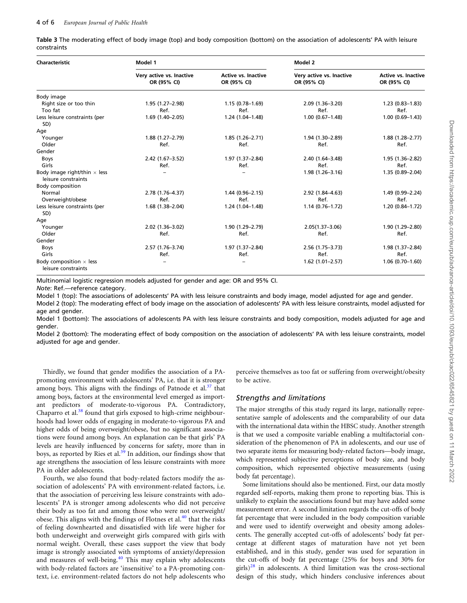<span id="page-3-0"></span>Table 3 The moderating effect of body image (top) and body composition (bottom) on the association of adolescents' PA with leisure constraints

| <b>Characteristic</b>                                      | Model 1                                 |                                           | Model 2                                 |                                           |
|------------------------------------------------------------|-----------------------------------------|-------------------------------------------|-----------------------------------------|-------------------------------------------|
|                                                            | Very active vs. Inactive<br>OR (95% CI) | <b>Active vs. Inactive</b><br>OR (95% CI) | Very active vs. Inactive<br>OR (95% CI) | <b>Active vs. Inactive</b><br>OR (95% CI) |
| Body image                                                 |                                         |                                           |                                         |                                           |
| Right size or too thin                                     | 1.95 (1.27-2.98)                        | $1.15(0.78 - 1.69)$                       | $2.09(1.36 - 3.20)$                     | $1.23(0.83 - 1.83)$                       |
| Too fat                                                    | Ref.                                    | Ref.                                      | Ref.                                    | Ref.                                      |
| Less leisure constraints (per                              | 1.69 (1.40-2.05)                        | $1.24(1.04 - 1.48)$                       | $1.00(0.67 - 1.48)$                     | $1.00(0.69 - 1.43)$                       |
| SD)                                                        |                                         |                                           |                                         |                                           |
| Age                                                        |                                         |                                           |                                         |                                           |
| Younger                                                    | $1.88(1.27 - 2.79)$                     | $1.85(1.26 - 2.71)$                       | 1.94 (1.30-2.89)                        | 1.88 (1.28-2.77)                          |
| Older                                                      | Ref.                                    | Ref.                                      | Ref.                                    | Ref.                                      |
| Gender                                                     |                                         |                                           |                                         |                                           |
| <b>Boys</b>                                                | $2.42(1.67-3.52)$                       | 1.97 (1.37-2.84)                          | $2.40(1.64 - 3.48)$                     | 1.95 (1.36-2.82)                          |
| Girls                                                      | Ref.                                    | Ref.                                      | Ref.                                    | Ref.                                      |
| Body image right/thin $\times$ less<br>leisure constraints |                                         |                                           | $1.98(1.26 - 3.16)$                     | 1.35 (0.89-2.04)                          |
| <b>Body composition</b>                                    |                                         |                                           |                                         |                                           |
| Normal                                                     | 2.78 (1.76-4.37)                        | $1.44(0.96 - 2.15)$                       | 2.92 (1.84-4.63)                        | 1.49 (0.99-2.24)                          |
| Overweight/obese                                           | Ref.                                    | Ref.                                      | Ref.                                    | Ref.                                      |
| Less leisure constraints (per<br>SD)                       | $1.68(1.38 - 2.04)$                     | $1.24(1.04 - 1.48)$                       | $1.14(0.76 - 1.72)$                     | $1.20(0.84 - 1.72)$                       |
| Age                                                        |                                         |                                           |                                         |                                           |
| Younger                                                    | $2.02(1.36 - 3.02)$                     | 1.90 (1.29-2.79)                          | $2.05(1.37 - 3.06)$                     | 1.90 (1.29-2.80)                          |
| Older                                                      | Ref.                                    | Ref.                                      | Ref.                                    | Ref.                                      |
| Gender                                                     |                                         |                                           |                                         |                                           |
| <b>Boys</b>                                                | $2.57(1.76 - 3.74)$                     | 1.97 (1.37-2.84)                          | 2.56 (1.75-3.73)                        | 1.98 (1.37-2.84)                          |
| Girls                                                      | Ref.                                    | Ref.                                      | Ref.                                    | Ref.                                      |
| Body composition $\times$ less<br>leisure constraints      |                                         |                                           | $1.62$ (1.01-2.57)                      | $1.06(0.70 - 1.60)$                       |

Multinomial logistic regression models adjusted for gender and age: OR and 95% CI.

Note: Ref.—reference category.

Model 1 (top): The associations of adolescents' PA with less leisure constraints and body image, model adjusted for age and gender.

Model 2 (top): The moderating effect of body image on the association of adolescents' PA with less leisure constraints, model adjusted for age and gender.

Model 1 (bottom): The associations of adolescents PA with less leisure constraints and body composition, models adjusted for age and gender.

Model 2 (bottom): The moderating effect of body composition on the association of adolescents' PA with less leisure constraints, model adjusted for age and gender.

Thirdly, we found that gender modifies the association of a PApromoting environment with adolescents' PA, i.e. that it is stronger among boys. This aligns with the findings of Patnode et  $al.^{37}$  $al.^{37}$  $al.^{37}$  that among boys, factors at the environmental level emerged as important predictors of moderate-to-vigorous PA. Contradictory, Chaparro et al.<sup>[38](#page-5-0)</sup> found that girls exposed to high-crime neighbourhoods had lower odds of engaging in moderate-to-vigorous PA and higher odds of being overweight/obese, but no significant associations were found among boys. An explanation can be that girls' PA levels are heavily influenced by concerns for safety, more than in boys, as reported by Ries et al.<sup>[39](#page-5-0)</sup> In addition, our findings show that age strengthens the association of less leisure constraints with more PA in older adolescents.

Fourth, we also found that body-related factors modify the association of adolescents' PA with environment-related factors, i.e. that the association of perceiving less leisure constraints with adolescents' PA is stronger among adolescents who did not perceive their body as too fat and among those who were not overweight/ obese. This aligns with the findings of Flotnes et al.<sup>[40](#page-5-0)</sup> that the risks of feeling downhearted and dissatisfied with life were higher for both underweight and overweight girls compared with girls with normal weight. Overall, these cases support the view that body image is strongly associated with symptoms of anxiety/depression and measures of well-being. $40$  This may explain why adolescents with body-related factors are 'insensitive' to a PA-promoting context, i.e. environment-related factors do not help adolescents who

perceive themselves as too fat or suffering from overweight/obesity to be active.

#### Strengths and limitations

The major strengths of this study regard its large, nationally representative sample of adolescents and the comparability of our data with the international data within the HBSC study. Another strength is that we used a composite variable enabling a multifactorial consideration of the phenomenon of PA in adolescents, and our use of two separate items for measuring body-related factors—body image, which represented subjective perceptions of body size, and body composition, which represented objective measurements (using body fat percentage).

Some limitations should also be mentioned. First, our data mostly regarded self-reports, making them prone to reporting bias. This is unlikely to explain the associations found but may have added some measurement error. A second limitation regards the cut-offs of body fat percentage that were included in the body composition variable and were used to identify overweight and obesity among adolescents. The generally accepted cut-offs of adolescents' body fat percentage at different stages of maturation have not yet been established, and in this study, gender was used for separation in the cut-offs of body fat percentage (25% for boys and 30% for girls) $^{28}$  $^{28}$  $^{28}$  in adolescents. A third limitation was the cross-sectional design of this study, which hinders conclusive inferences about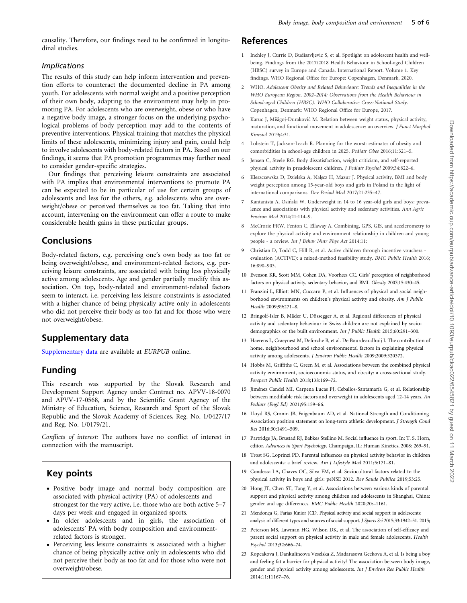<span id="page-4-0"></span>causality. Therefore, our findings need to be confirmed in longitudinal studies.

#### Implications

The results of this study can help inform intervention and prevention efforts to counteract the documented decline in PA among youth. For adolescents with normal weight and a positive perception of their own body, adapting to the environment may help in promoting PA. For adolescents who are overweight, obese or who have a negative body image, a stronger focus on the underlying psychological problems of body perception may add to the contents of preventive interventions. Physical training that matches the physical limits of these adolescents, minimizing injury and pain, could help to involve adolescents with body-related factors in PA. Based on our findings, it seems that PA promotion programmes may further need to consider gender-specific strategies.

Our findings that perceiving leisure constraints are associated with PA implies that environmental interventions to promote PA can be expected to be in particular of use for certain groups of adolescents and less for the others, e.g. adolescents who are overweight/obese or perceived themselves as too fat. Taking that into account, intervening on the environment can offer a route to make considerable health gains in these particular groups.

## Conclusions

Body-related factors, e.g. perceiving one's own body as too fat or being overweight/obese, and environment-related factors, e.g. perceiving leisure constraints, are associated with being less physically active among adolescents. Age and gender partially modify this association. On top, body-related and environment-related factors seem to interact, i.e. perceiving less leisure constraints is associated with a higher chance of being physically active only in adolescents who did not perceive their body as too fat and for those who were not overweight/obese.

# Supplementary data

[Supplementary data](https://academic.oup.com/eurpub/article-lookup/doi/10.1093/eurpub/ckac022#supplementary-data) are available at EURPUB online.

# Funding

This research was supported by the Slovak Research and Development Support Agency under Contract no. APVV-18-0070 and APVV-17-0568, and by the Scientific Grant Agency of the Ministry of Education, Science, Research and Sport of the Slovak Republic and the Slovak Academy of Sciences, Reg. No. 1/0427/17 and Reg. No. 1/0179/21.

Conflicts of interest: The authors have no conflict of interest in connection with the manuscript.

# Key points

- Positive body image and normal body composition are associated with physical activity (PA) of adolescents and strongest for the very active, i.e. those who are both active 5–7 days per week and engaged in organized sports.
- In older adolescents and in girls, the association of adolescents' PA with body composition and environmentrelated factors is stronger.
- Perceiving less leisure constraints is associated with a higher chance of being physically active only in adolescents who did not perceive their body as too fat and for those who were not overweight/obese.

### References

- [1](#page-0-0) Inchley J, Currie D, Budisavljevic S, et al. Spotlight on adolescent health and wellbeing. Findings from the 2017/2018 Health Behaviour in School-aged Children (HBSC) survey in Europe and Canada. International Report. Volume 1. Key findings. WHO Regional Office for Europe: Copenhagen, Denmark, 2020.
- [2](#page-0-0) WHO. Adolescent Obesity and Related Behaviours: Trends and Inequalities in the WHO European Region, 2002–2014: Observations from the Health Behaviour in School-aged Children (HBSC). WHO Collaborative Cross-National Study. Copenhagen, Denmark: WHO Regional Office for Europe, 2017.
- [3](#page-0-0) Karuc J, Mišigoj-Duraković M. Relation between weight status, physical activity, maturation, and functional movement in adolescence: an overview. J Funct Morphol Kinesiol 2019;4:31.
- [4](#page-0-0) Lobstein T, Jackson-Leach R. Planning for the worst: estimates of obesity and comorbidities in school-age children in 2025. Pediatr Obes 2016;11:321–5.
- [5](#page-0-0) Jensen C, Steele RG. Body dissatisfaction, weight criticism, and self-reported physical activity in preadolescent children. J Pediatr Psychol 2009;34:822–6.
- [6](#page-0-0) Kleszczewska D, Dzielska A, Nałecz H, Mazur J. Physical activity, BMI and body weight perception among 15-year-old boys and girls in Poland in the light of international comparisons. Dev Period Med 2017;21:235–47.
- [7](#page-0-0) Kantanista A, Osiński W. Underweight in 14 to 16 year-old girls and boys: prevalence and associations with physical activity and sedentary activities. Ann Agric Environ Med 2014;21:114–9.
- [8](#page-0-0) McCrorie PRW, Fenton C, Ellaway A. Combining, GPS, GIS, and accelerometry to explore the physical activity and environment relationship in children and young people - a review. Int J Behav Nutr Phys Act 2014;11:
- Christian D, Todd C, Hill R, et al. Active children through incentive vouchers evaluation (ACTIVE): a mixed-method feasibility study. BMC Public Health 2016; 16:890–903.
- [10](#page-0-0) Evenson KR, Scott MM, Cohen DA, Voorhees CC. Girls' perception of neighborhood factors on physical activity, sedentary behavior, and BMI. Obesity 2007;15:430–45.
- [11](#page-0-0) Franzini L, Elliott MN, Cuccaro P, et al. Influences of physical and social neighborhood environments on children's physical activity and obesity. Am J Public Health 2009;99:271–8.
- [12](#page-0-0) Bringolf-Isler B, Mäder U, Dössegger A, et al. Regional differences of physical activity and sedentary behaviour in Swiss children are not explained by sociodemographics or the built environment. Int J Public Health 2015;60:291–300.
- [13](#page-0-0) Haerens L, Craeynest M, Deforche B, et al. De Bourdeaudhuij I. The contribution of home, neighbourhood and school environmental factors in explaining physical activity among adolescents. J Environ Public Health 2009;2009:320372.
- [14](#page-0-0) Hobbs M, Griffiths C, Green M, et al. Associations between the combined physical activity environment, socioeconomic status, and obesity: a cross-sectional study. Perspect Public Health 2018;138:169–72.
- [15](#page-0-0) Jiménez Candel MI, Carpena Lucas PJ, Ceballos-Santamaría G, et al. Relationship between modifiable risk factors and overweight in adolescents aged 12-14 years. An Pediatr (Engl Ed) 2021;95:159–66.
- [16](#page-0-0) Lloyd RS, Cronin JB, Faigenbaum AD, et al. National Strength and Conditioning Association position statement on long-term athletic development. J Strength Cond Res 2016;30:1491–509.
- [17](#page-0-0) Partridge JA, Brustad RJ, Babkes Stellino M. Social influence in sport. In: T. S. Horn, editor, Advances in Sport Psychology. Champaign, IL: Human Kinetics, 2008: 269–91.
- [18](#page-0-0) Trost SG, Loprinzi PD. Parental influences on physical activity behavior in children and adolescents: a brief review. Am J Lifestyle Med 2011;5:171–81.
- [19](#page-0-0) Condessa LA, Chaves OC, Silva FM, et al. Sociocultural factors related to the physical activity in boys and girls: peNSE 2012. Rev Saude Publica 2019;53:25.
- [20](#page-0-0) Hong JT, Chen ST, Tang Y, et al. Associations between various kinds of parental support and physical activity among children and adolescents in Shanghai, China: gender and age differences. BMC Public Health 2020;20:–1161.
- [21](#page-1-0) Mendonça G, Farias Júnior JCD. Physical activity and social support in adolescents: analysis of different types and sources of social support. J Sports Sci 2015;33:1942–51. 2015;
- [22](#page-1-0) Peterson MS, Lawman HG, Wilson DK, et al. The association of self-efficacy and parent social support on physical activity in male and female adolescents. Health Psychol 2013;32:666–74.
- [23](#page-1-0) Kopcakova J, Dankulincova Veselska Z, Madarasova Geckova A, et al. Is being a boy and feeling fat a barrier for physical activity? The association between body image, gender and physical activity among adolescents. Int J Environ Res Public Health 2014;11:11167–76.